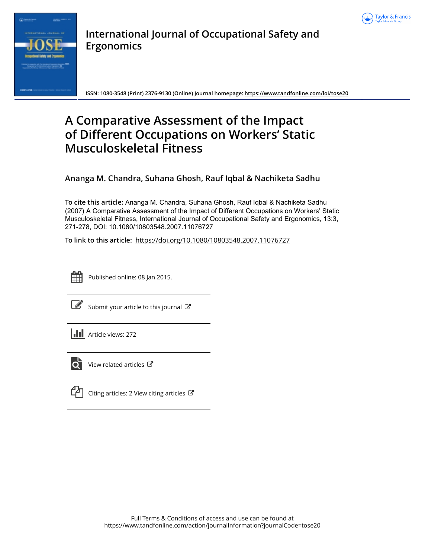



**International Journal of Occupational Safety and Ergonomics**

**ISSN: 1080-3548 (Print) 2376-9130 (Online) Journal homepage:<https://www.tandfonline.com/loi/tose20>**

# **A Comparative Assessment of the Impact of Different Occupations on Workers' Static Musculoskeletal Fitness**

**Ananga M. Chandra, Suhana Ghosh, Rauf Iqbal & Nachiketa Sadhu**

**To cite this article:** Ananga M. Chandra, Suhana Ghosh, Rauf Iqbal & Nachiketa Sadhu (2007) A Comparative Assessment of the Impact of Different Occupations on Workers' Static Musculoskeletal Fitness, International Journal of Occupational Safety and Ergonomics, 13:3, 271-278, DOI: [10.1080/10803548.2007.11076727](https://www.tandfonline.com/action/showCitFormats?doi=10.1080/10803548.2007.11076727)

**To link to this article:** <https://doi.org/10.1080/10803548.2007.11076727>



Published online: 08 Jan 2015.

|--|

[Submit your article to this journal](https://www.tandfonline.com/action/authorSubmission?journalCode=tose20&show=instructions)  $\mathbb{Z}$ 





 $\overrightarrow{Q}$  [View related articles](https://www.tandfonline.com/doi/mlt/10.1080/10803548.2007.11076727)  $\overrightarrow{C}$ 



[Citing articles: 2 View citing articles](https://www.tandfonline.com/doi/citedby/10.1080/10803548.2007.11076727#tabModule)  $\mathbb{Z}$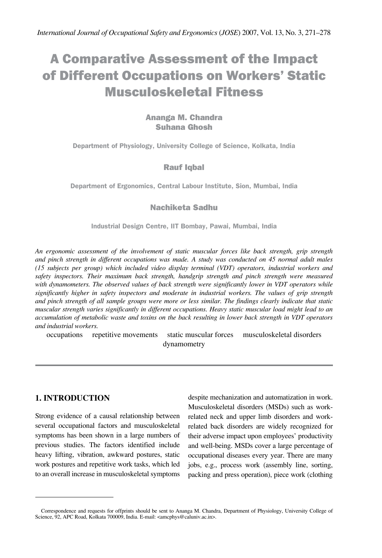# A Comparative Assessment of the Impact of Different Occupations on Workers' Static Musculoskeletal Fitness

# Ananga M. Chandra Suhana Ghosh

**Department of Physiology, University College of Science, Kolkata, India**

### Rauf Iqbal

**Department of Ergonomics, Central Labour Institute, Sion, Mumbai, India**

## Nachiketa Sadhu

**Industrial Design Centre, IIT Bombay, Pawai, Mumbai, India** 

*An ergonomic assessment of the involvement of static muscular forces like back strength, grip strength and pinch strength in different occupations was made. A study was conducted on 45 normal adult males (15 subjects per group) which included video display terminal (VDT) operators, industrial workers and safety inspectors. Their maximum back strength, handgrip strength and pinch strength were measured with dynamometers. The observed values of back strength were significantly lower in VDT operators while significantly higher in safety inspectors and moderate in industrial workers. The values of grip strength and pinch strength of all sample groups were more or less similar. The findings clearly indicate that static muscular strength varies significantly in different occupations. Heavy static muscular load might lead to an accumulation of metabolic waste and toxins on the back resulting in lower back strength in VDT operators and industrial workers.*

occupations repetitive movements static muscular forces musculoskeletal disorders dynamometry

## **1. INTRODUCTION**

Strong evidence of a causal relationship between several occupational factors and musculoskeletal symptoms has been shown in a large numbers of previous studies. The factors identified include heavy lifting, vibration, awkward postures, static work postures and repetitive work tasks, which led to an overall increase in musculoskeletal symptoms

despite mechanization and automatization in work. Musculoskeletal disorders (MSDs) such as workrelated neck and upper limb disorders and workrelated back disorders are widely recognized for their adverse impact upon employees' productivity and well-being. MSDs cover a large percentage of occupational diseases every year. There are many jobs, e.g., process work (assembly line, sorting, packing and press operation), piece work (clothing

Correspondence and requests for offprints should be sent to Ananga M. Chandra, Department of Physiology, University College of Science, 92, APC Road, Kolkata 700009, India. E-mail: <amcphys@caluniv.ac.in>.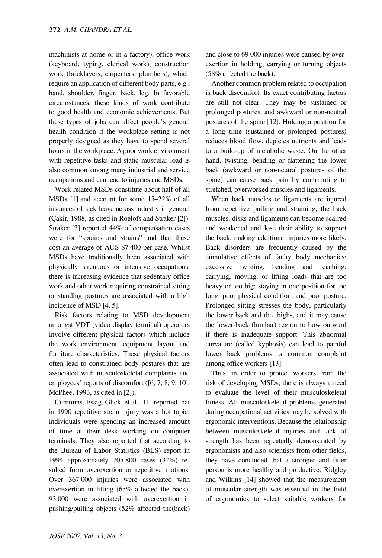machinists at home or in a factory), office work (keyboard, typing, clerical work), construction work (bricklayers, carpenters, plumbers), which require an application of different body parts, e.g., hand, shoulder, finger, back, leg. In favorable circumstances, these kinds of work contribute to good health and economic achievements. But these types of jobs can affect people's general health condition if the workplace setting is not properly designed as they have to spend several hours in the workplace. A poor work environment with repetitive tasks and static muscular load is also common among many industrial and service occupations and can lead to injuries and MSDs.

Work-related MSDs constitute about half of all MSDs [1] and account for some 15–22% of all instances of sick leave across industry in general (Çakir, 1988, as cited in Roelofs and Straker [2]). Straker [3] reported 44% of compensation cases were for "sprains and strains" and that these cost an average of AUS \$7 400 per case. Whilst MSDs have traditionally been associated with physically strenuous or intensive occupations, there is increasing evidence that sedentary office work and other work requiring constrained sitting or standing postures are associated with a high incidence of MSD [4, 5].

Risk factors relating to MSD development amongst VDT (video display terminal) operators involve different physical factors which include the work environment, equipment layout and furniture characteristics. These physical factors often lead to constrained body postures that are associated with musculoskeletal complaints and employees' reports of discomfort ([6, 7, 8, 9, 10], McPhee, 1993, as cited in [2]).

Cummins, Essig, Glick, et al. [11] reported that in 1990 repetitive strain injury was a hot topic: individuals were spending an increased amount of time at their desk working on computer terminals. They also reported that according to the Bureau of Labor Statistics (BLS) report in 1994 approximately 705 800 cases (32%) resulted from overexertion or repetitive motions. Over 367 000 injuries were associated with overexertion in lifting (65% affected the back), 93 000 were associated with overexertion in pushing/pulling objects (52% affected the(back) and close to 69 000 injuries were caused by overexertion in holding, carrying or turning objects (58% affected the back).

Another common problem related to occupation is back discomfort. Its exact contributing factors are still not clear. They may be sustained or prolonged postures, and awkward or non-neutral postures of the spine [12]. Holding a position for a long time (sustained or prolonged postures) reduces blood flow, depletes nutrients and leads to a build-up of metabolic waste. On the other hand, twisting, bending or flattening the lower back (awkward or non-neutral postures of the spine) can cause back pain by contributing to stretched, overworked muscles and ligaments.

When back muscles or ligaments are injured from repetitive pulling and straining, the back muscles, disks and ligaments can become scarred and weakened and lose their ability to support the back, making additional injuries more likely. Back disorders are frequently caused by the cumulative effects of faulty body mechanics: excessive twisting, bending and reaching; carrying, moving, or lifting loads that are too heavy or too big; staying in one position for too long; poor physical condition; and poor posture. Prolonged sitting stresses the body, particularly the lower back and the thighs, and it may cause the lower-back (lumbar) region to bow outward if there is inadequate support. This abnormal curvature (called kyphosis) can lead to painful lower back problems, a common complaint among office workers [13].

Thus, in order to protect workers from the risk of developing MSDs, there is always a need to evaluate the level of their musculoskeletal fitness. All musculoskeletal problems generated during occupational activities may be solved with ergonomic interventions. Because the relationship between musculoskeletal injuries and lack of strength has been repeatedly demonstrated by ergonomists and also scientists from other fields, they have concluded that a stronger and fitter person is more healthy and productive. Ridgley and Wilkins [14] showed that the measurement of muscular strength was essential in the field of ergonomics to select suitable workers for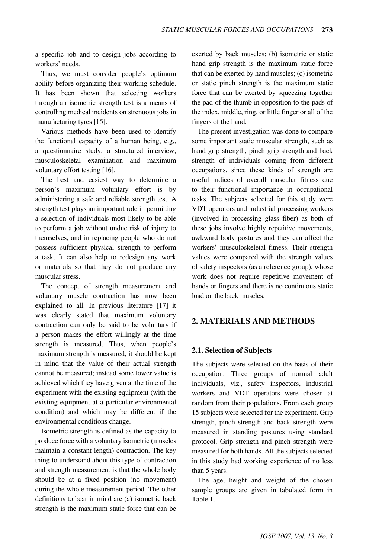a specific job and to design jobs according to workers' needs.

Thus, we must consider people's optimum ability before organizing their working schedule. It has been shown that selecting workers through an isometric strength test is a means of controlling medical incidents on strenuous jobs in manufacturing tyres [15].

Various methods have been used to identify the functional capacity of a human being, e.g., a questionnaire study, a structured interview, musculoskeletal examination and maximum voluntary effort testing [16].

The best and easiest way to determine a person's maximum voluntary effort is by administering a safe and reliable strength test. A strength test plays an important role in permitting a selection of individuals most likely to be able to perform a job without undue risk of injury to themselves, and in replacing people who do not possess sufficient physical strength to perform a task. It can also help to redesign any work or materials so that they do not produce any muscular stress.

The concept of strength measurement and voluntary muscle contraction has now been explained to all. In previous literature [17] it was clearly stated that maximum voluntary contraction can only be said to be voluntary if a person makes the effort willingly at the time strength is measured. Thus, when people's maximum strength is measured, it should be kept in mind that the value of their actual strength cannot be measured; instead some lower value is achieved which they have given at the time of the experiment with the existing equipment (with the existing equipment at a particular environmental condition) and which may be different if the environmental conditions change.

Isometric strength is defined as the capacity to produce force with a voluntary isometric (muscles maintain a constant length) contraction. The key thing to understand about this type of contraction and strength measurement is that the whole body should be at a fixed position (no movement) during the whole measurement period. The other definitions to bear in mind are (a) isometric back strength is the maximum static force that can be

exerted by back muscles; (b) isometric or static hand grip strength is the maximum static force that can be exerted by hand muscles; (c) isometric or static pinch strength is the maximum static force that can be exerted by squeezing together the pad of the thumb in opposition to the pads of the index, middle, ring, or little finger or all of the fingers of the hand.

The present investigation was done to compare some important static muscular strength, such as hand grip strength, pinch grip strength and back strength of individuals coming from different occupations, since these kinds of strength are useful indices of overall muscular fitness due to their functional importance in occupational tasks. The subjects selected for this study were VDT operators and industrial processing workers (involved in processing glass fiber) as both of these jobs involve highly repetitive movements, awkward body postures and they can affect the workers' musculoskeletal fitness. Their strength values were compared with the strength values of safety inspectors (as a reference group), whose work does not require repetitive movement of hands or fingers and there is no continuous static load on the back muscles.

# **2. MATERIALS AND METHODS**

#### **2.1. Selection of Subjects**

The subjects were selected on the basis of their occupation. Three groups of normal adult individuals, viz., safety inspectors, industrial workers and VDT operators were chosen at random from their populations. From each group 15 subjects were selected for the experiment. Grip strength, pinch strength and back strength were measured in standing postures using standard protocol. Grip strength and pinch strength were measured for both hands. All the subjects selected in this study had working experience of no less than 5 years.

The age, height and weight of the chosen sample groups are given in tabulated form in Table 1.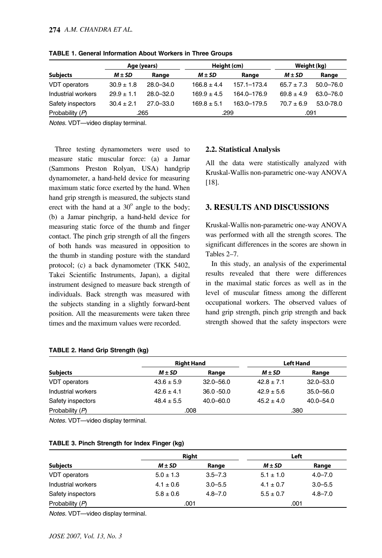|                      | Age (years)    |               | Height (cm)     |                 | Weight (kg)    |               |
|----------------------|----------------|---------------|-----------------|-----------------|----------------|---------------|
| <b>Subjects</b>      | $M \pm SD$     | Range         | $M \pm SD$      | Range           | $M \pm SD$     | Range         |
| <b>VDT</b> operators | $30.9 \pm 1.8$ | $28.0 - 34.0$ | $166.8 \pm 4.4$ | $157.1 - 173.4$ | $65.7 \pm 7.3$ | $50.0 - 76.0$ |
| Industrial workers   | $29.9 + 1.1$   | $28.0 - 32.0$ | $169.9 \pm 4.5$ | 164.0-176.9     | $69.8 \pm 4.9$ | 63.0-76.0     |
| Safety inspectors    | $30.4 \pm 2.1$ | $27.0 - 33.0$ | $169.8 \pm 5.1$ | 163.0-179.5     | $70.7 + 6.9$   | 53.0-78.0     |
| Probability (P)      |                | .265          |                 | .299            | .091           |               |

**TABLE 1. General Information About Workers in Three Groups** 

*Notes*. VDT—video display terminal.

Three testing dynamometers were used to measure static muscular force: (a) a Jamar (Sammons Preston Rolyan, USA) handgrip dynamometer, a hand-held device for measuring maximum static force exerted by the hand. When hand grip strength is measured, the subjects stand erect with the hand at a  $30^{\circ}$  angle to the body; (b) a Jamar pinchgrip, a hand-held device for measuring static force of the thumb and finger contact. The pinch grip strength of all the fingers of both hands was measured in opposition to the thumb in standing posture with the standard protocol; (c) a back dynamometer (TKK 5402, Takei Scientific Instruments, Japan), a digital instrument designed to measure back strength of individuals. Back strength was measured with the subjects standing in a slightly forward-bent position. All the measurements were taken three times and the maximum values were recorded.

#### **2.2. Statistical Analysis**

All the data were statistically analyzed with Kruskal-Wallis non-parametric one-way ANOVA [18].

### **3. RESULTS AND DISCUSSIONS**

Kruskal-Wallis non-parametric one-way ANOVA was performed with all the strength scores. The significant differences in the scores are shown in Tables 2–7.

In this study, an analysis of the experimental results revealed that there were differences in the maximal static forces as well as in the level of muscular fitness among the different occupational workers. The observed values of hand grip strength, pinch grip strength and back strength showed that the safety inspectors were

|                    | <b>Right Hand</b> |               | <b>Left Hand</b> |               |
|--------------------|-------------------|---------------|------------------|---------------|
| <b>Subjects</b>    | $M \pm SD$        | Range         | $M \pm SD$       | Range         |
| VDT operators      | $43.6 \pm 5.9$    | $32.0 - 56.0$ | $42.8 + 7.1$     | $32.0 - 53.0$ |
| Industrial workers | $426 + 4.1$       | $36.0 - 50.0$ | $42.9 \pm 5.6$   | $35.0 - 56.0$ |
| Safety inspectors  | $48.4 \pm 5.5$    | $40.0 - 60.0$ | $45.2 + 4.0$     | $40.0 - 54.0$ |
| Probability (P)    | .008              |               |                  | .380          |

#### **TABLE 2. Hand Grip Strength (kg)**

*Notes.* VDT—video display terminal.

|                    | <b>Right</b>  |             | Left          |             |
|--------------------|---------------|-------------|---------------|-------------|
| <b>Subjects</b>    | $M \pm SD$    | Range       | $M \pm SD$    | Range       |
| VDT operators      | $5.0 \pm 1.3$ | $3.5 - 7.3$ | $5.1 \pm 1.0$ | $4.0 - 7.0$ |
| Industrial workers | $4.1 \pm 0.6$ | $3.0 - 5.5$ | $4.1 \pm 0.7$ | $3.0 - 5.5$ |
| Safety inspectors  | $5.8 \pm 0.6$ | $4.8 - 7.0$ | $5.5 \pm 0.7$ | $4.8 - 7.0$ |
| Probability (P)    | .001          |             | .001          |             |

*Notes.* VDT—video display terminal.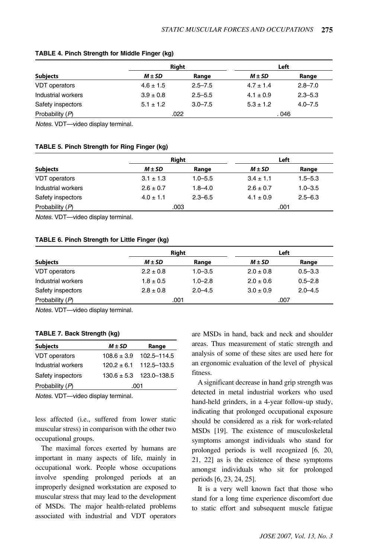|                      | <b>Right</b>  |             | Left          |             |
|----------------------|---------------|-------------|---------------|-------------|
| <b>Subjects</b>      | $M \pm SD$    | Range       | $M \pm SD$    | Range       |
| <b>VDT</b> operators | $4.6 \pm 1.5$ | $2.5 - 7.5$ | $4.7 \pm 1.4$ | $2.8 - 7.0$ |
| Industrial workers   | $3.9 \pm 0.8$ | $2.5 - 5.5$ | $4.1 \pm 0.9$ | $2.3 - 5.3$ |
| Safety inspectors    | $5.1 \pm 1.2$ | $3.0 - 7.5$ | $5.3 \pm 1.2$ | $4.0 - 7.5$ |
| Probability (P)      | .022          |             | . 046         |             |

#### **TABLE 4. Pinch Strength for Middle Finger (kg)**

*Notes.* VDT—video display terminal.

#### **TABLE 5. Pinch Strength for Ring Finger (kg)**

|                    | <b>Right</b>  |             | Left          |             |
|--------------------|---------------|-------------|---------------|-------------|
| <b>Subjects</b>    | $M \pm SD$    | Range       | $M \pm SD$    | Range       |
| VDT operators      | $3.1 \pm 1.3$ | $1.0 - 5.5$ | $3.4 \pm 1.1$ | $1.5 - 5.3$ |
| Industrial workers | $2.6 \pm 0.7$ | $1.8 - 4.0$ | $2.6 \pm 0.7$ | $1.0 - 3.5$ |
| Safety inspectors  | $4.0 \pm 1.1$ | $2.3 - 6.5$ | $4.1 \pm 0.9$ | $2.5 - 6.3$ |
| Probability $(P)$  | .003          |             | .001          |             |

*Notes.* VDT—video display terminal.

#### **TABLE 6. Pinch Strength for Little Finger (kg)**

|                    | <b>Right</b>  |             | Left          |             |
|--------------------|---------------|-------------|---------------|-------------|
| <b>Subjects</b>    | $M \pm SD$    | Range       | $M \pm SD$    | Range       |
| VDT operators      | $2.2 \pm 0.8$ | $1.0 - 3.5$ | $2.0 \pm 0.8$ | $0.5 - 3.3$ |
| Industrial workers | $1.8 \pm 0.5$ | $1.0 - 2.8$ | $2.0 \pm 0.6$ | $0.5 - 2.8$ |
| Safety inspectors  | $2.8 \pm 0.8$ | $2.0 - 4.5$ | $3.0 \pm 0.9$ | $2.0 - 4.5$ |
| Probability $(P)$  |               | .001        |               | .007        |

*Notes.* VDT—video display terminal.

#### **TABLE 7. Back Strength (kg)**

| <b>Subjects</b>      | $M \pm SD$      | Range                       |  |
|----------------------|-----------------|-----------------------------|--|
| <b>VDT</b> operators | $108.6 \pm 3.9$ | 102.5-114.5                 |  |
| Industrial workers   | $120.2 \pm 6.1$ | 112.5–133.5                 |  |
| Safety inspectors    |                 | $130.6 \pm 5.3$ 123.0-138.5 |  |
| Probability (P)      | .001            |                             |  |

*Notes.* VDT—video display terminal.

less affected (i.e., suffered from lower static muscular stress) in comparison with the other two occupational groups.

The maximal forces exerted by humans are important in many aspects of life, mainly in occupational work. People whose occupations involve spending prolonged periods at an improperly designed workstation are exposed to muscular stress that may lead to the development of MSDs. The major health-related problems associated with industrial and VDT operators

are MSDs in hand, back and neck and shoulder areas. Thus measurement of static strength and analysis of some of these sites are used here for an ergonomic evaluation of the level of physical fitness.

A significant decrease in hand grip strength was detected in metal industrial workers who used hand-held grinders, in a 4-year follow-up study, indicating that prolonged occupational exposure should be considered as a risk for work-related MSDs [19]. The existence of musculoskeletal symptoms amongst individuals who stand for prolonged periods is well recognized [6, 20, 21, 22] as is the existence of these symptoms amongst individuals who sit for prolonged periods [6, 23, 24, 25].

It is a very well known fact that those who stand for a long time experience discomfort due to static effort and subsequent muscle fatigue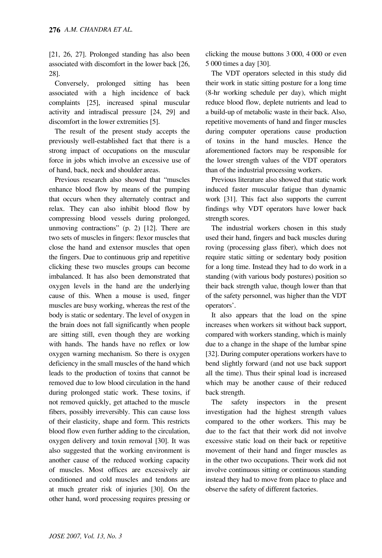[21, 26, 27]. Prolonged standing has also been associated with discomfort in the lower back [26, 28].

Conversely, prolonged sitting has been associated with a high incidence of back complaints [25], increased spinal muscular activity and intradiscal pressure [24, 29] and discomfort in the lower extremities [5].

The result of the present study accepts the previously well-established fact that there is a strong impact of occupations on the muscular force in jobs which involve an excessive use of of hand, back, neck and shoulder areas.

Previous research also showed that "muscles enhance blood flow by means of the pumping that occurs when they alternately contract and relax. They can also inhibit blood flow by compressing blood vessels during prolonged, unmoving contractions" (p. 2) [12]. There are two sets of muscles in fingers: flexor muscles that close the hand and extensor muscles that open the fingers. Due to continuous grip and repetitive clicking these two muscles groups can become imbalanced. It has also been demonstrated that oxygen levels in the hand are the underlying cause of this. When a mouse is used, finger muscles are busy working, whereas the rest of the body is static or sedentary. The level of oxygen in the brain does not fall significantly when people are sitting still, even though they are working with hands. The hands have no reflex or low oxygen warning mechanism. So there is oxygen deficiency in the small muscles of the hand which leads to the production of toxins that cannot be removed due to low blood circulation in the hand during prolonged static work. These toxins, if not removed quickly, get attached to the muscle fibers, possibly irreversibly. This can cause loss of their elasticity, shape and form. This restricts blood flow even further adding to the circulation, oxygen delivery and toxin removal [30]. It was also suggested that the working environment is another cause of the reduced working capacity of muscles. Most offices are excessively air conditioned and cold muscles and tendons are at much greater risk of injuries [30]. On the other hand, word processing requires pressing or

clicking the mouse buttons 3 000, 4 000 or even 5 000 times a day [30].

The VDT operators selected in this study did their work in static sitting posture for a long time (8-hr working schedule per day), which might reduce blood flow, deplete nutrients and lead to a build-up of metabolic waste in their back. Also, repetitive movements of hand and finger muscles during computer operations cause production of toxins in the hand muscles. Hence the aforementioned factors may be responsible for the lower strength values of the VDT operators than of the industrial processing workers.

Previous literature also showed that static work induced faster muscular fatigue than dynamic work [31]. This fact also supports the current findings why VDT operators have lower back strength scores.

The industrial workers chosen in this study used their hand, fingers and back muscles during roving (processing glass fiber), which does not require static sitting or sedentary body position for a long time. Instead they had to do work in a standing (with various body postures) position so their back strength value, though lower than that of the safety personnel, was higher than the VDT operators'.

It also appears that the load on the spine increases when workers sit without back support, compared with workers standing, which is mainly due to a change in the shape of the lumbar spine [32]. During computer operations workers have to bend slightly forward (and not use back support all the time). Thus their spinal load is increased which may be another cause of their reduced back strength.

The safety inspectors in the present investigation had the highest strength values compared to the other workers. This may be due to the fact that their work did not involve excessive static load on their back or repetitive movement of their hand and finger muscles as in the other two occupations. Their work did not involve continuous sitting or continuous standing instead they had to move from place to place and observe the safety of different factories.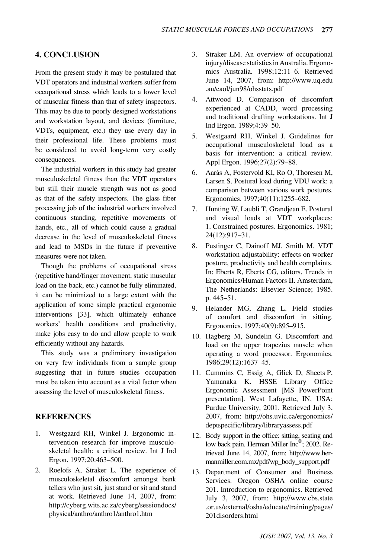## **4. CONCLUSION**

From the present study it may be postulated that VDT operators and industrial workers suffer from occupational stress which leads to a lower level of muscular fitness than that of safety inspectors. This may be due to poorly designed workstations and workstation layout, and devices (furniture, VDTs, equipment, etc.) they use every day in their professional life. These problems must be considered to avoid long-term very costly consequences.

The industrial workers in this study had greater musculoskeletal fitness than the VDT operators but still their muscle strength was not as good as that of the safety inspectors. The glass fiber processing job of the industrial workers involved continuous standing, repetitive movements of hands, etc., all of which could cause a gradual decrease in the level of musculoskeletal fitness and lead to MSDs in the future if preventive measures were not taken.

Though the problems of occupational stress (repetitive hand/finger movement, static muscular load on the back, etc.) cannot be fully eliminated, it can be minimized to a large extent with the application of some simple practical ergonomic interventions [33], which ultimately enhance workers' health conditions and productivity, make jobs easy to do and allow people to work efficiently without any hazards.

This study was a preliminary investigation on very few individuals from a sample group suggesting that in future studies occupation must be taken into account as a vital factor when assessing the level of musculoskeletal fitness.

### **REFERENCES**

- 1. Westgaard RH, Winkel J. Ergonomic intervention research for improve musculoskeletal health: a critical review. Int J Ind Ergon. 1997;20:463–500.
- 2. Roelofs A, Straker L. The experience of musculoskeletal discomfort amongst bank tellers who just sit, just stand or sit and stand at work. Retrieved June 14, 2007, from: http://cyberg.wits.ac.za/cyberg/sessiondocs/ physical/anthro/anthro1/anthro1.htm
- 3. Straker LM. An overview of occupational injury/disease statistics in Australia. Ergonomics Australia. 1998;12:11–6. Retrieved June 14, 2007, from: http://www.uq.edu .au/eaol/jun98/ohsstats.pdf
- 4. Attwood D. Comparison of discomfort experienced at CADD, word processing and traditional drafting workstations. Int J Ind Ergon. 1989;4:39–50.
- 5. Westgaard RH, Winkel J. Guidelines for occupational musculoskeletal load as a basis for intervention: a critical review. Appl Ergon. 1996;27(2):79–88.
- 6. Aarås A, Fostervold KI, Ro O, Thoresen M, Larsen S. Postural load during VDU work: a comparison between various work postures. Ergonomics. 1997;40(11):1255–682.
- 7. Hunting W, Laubli T, Grandjean E. Postural and visual loads at VDT workplaces: 1. Constrained postures. Ergonomics. 1981; 24(12):917–31.
- 8.Pustinger C, Dainoff MJ, Smith M. VDT workstation adjustability: effects on worker posture, productivity and health complaints. In: Eberts R, Eberts CG, editors. Trends in Ergonomics/Human Factors II. Amsterdam, The Netherlands: Elsevier Science; 1985. p. 445–51.
- 9. Helander MG, Zhang L. Field studies of comfort and discomfort in sitting. Ergonomics. 1997;40(9):895–915.
- 10. Hagberg M, Sundelin G. Discomfort and load on the upper trapezius muscle when operating a word processor. Ergonomics. 1986;29(12):1637–45.
- 11. Cummins C, Essig A, Glick D, Sheets P, Yamanaka K. HSSE Library Office Ergonomic Assessment [MS PowerPoint presentation]. West Lafayette, IN, USA; Purdue University, 2001. Retrieved July 3, 2007, from: http://ohs.uvic.ca/ergonomics/ deptspecific/library/libraryassess.pdf
- 12. Body support in the office: sitting, seating and low back pain. Herman Miller Inc<sup>®</sup>; 2002. Retrieved June 14, 2007, from: http://www.hermanmiller.com.mx/pdf/wp\_body\_support.pdf
- 13. Department of Consumer and Business Services. Oregon OSHA online course 201. Introduction to ergonomics. Retrieved July 3, 2007, from: http://www.cbs.state .or.us/external/osha/educate/training/pages/ 201disorders.html